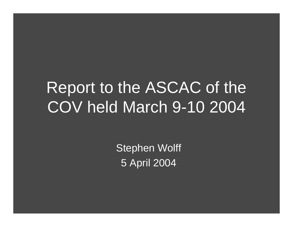# Report to the ASCAC of the COV held March 9-10 2004

Stephen Wolff 5 April 2004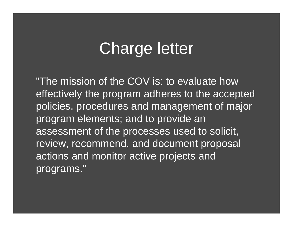## Charge letter

"The mission of the COV is: to evaluate how effectively the program adheres to the accepted policies, procedures and management of major program elements; and to provide an assessment of the processes used to solicit, review, recommend, and document proposal actions and monitor active projects and programs."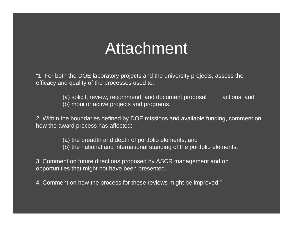### Attachment

"1. For both the DOE laboratory projects and the university projects, assess the efficacy and quality of the processes used to:

> (a) solicit, review, recommend, and document proposal actions, and (b) monitor active projects and programs.

2. Within the boundaries defined by DOE missions and available funding, comment on how the award process has affected:

(a) the breadth and depth of portfolio elements, and

(b) the national and international standing of the portfolio elements.

3. Comment on future directions proposed by ASCR management and on opportunities that might not have been presented.

4. Comment on how the process for these reviews might be improved."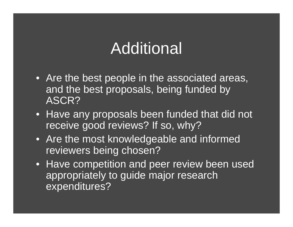# Additional

- Are the best people in the associated areas, and the best proposals, being funded by ASCR?
- Have any proposals been funded that did not receive good reviews? If so, why?
- Are the most knowledgeable and informed reviewers being chosen?
- Have competition and peer review been used appropriately to guide major research expenditures?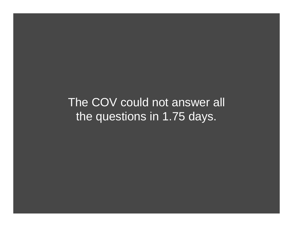The COV could not answer all the questions in 1.75 days.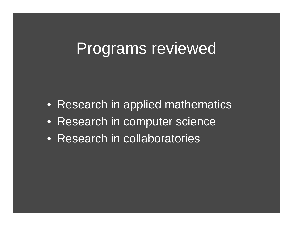#### Programs reviewed

- Research in applied mathematics
- Research in computer science
- Research in collaboratories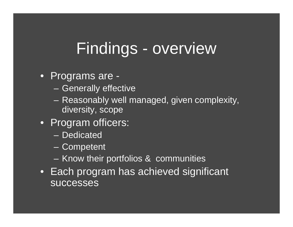## Findings - overview

#### • Programs are -

- Generally effective
- Reasonably well managed, given complexity, diversity, scope
- Program officers:
	- Dedicated
	- **Competent**
	- $\mathcal{L}_{\mathcal{A}}$ Know their portfolios & communities
- Each program has achieved significant successes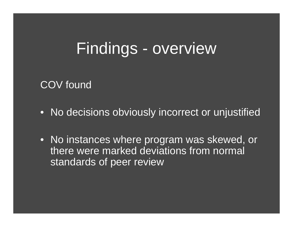### Findings - overview

COV found

- No decisions obviously incorrect or unjustified
- No instances where program was skewed, or there were marked deviations from normal standards of peer review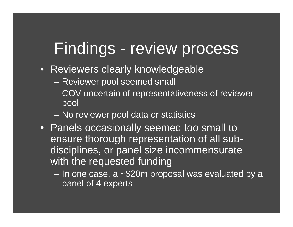### Findings - review process

- Reviewers clearly knowledgeable
	- Reviewer pool seemed small
	- COV uncertain of representativeness of reviewer pool
	- No reviewer pool data or statistics
- Panels occasionally seemed too small to ensure thorough representation of all subdisciplines, or panel size incommensurate with the requested funding
	- In one case, a ~\$20m proposal was evaluated by a panel of 4 experts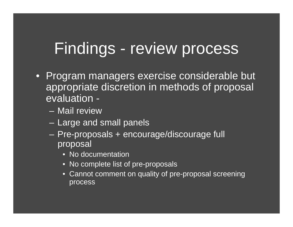## Findings - review process

- Program managers exercise considerable but appropriate discretion in methods of proposal evaluation -
	- Mail review
	- Large and small panels
	- Pre-proposals + encourage/discourage full proposal
		- No documentation
		- No complete list of pre-proposals
		- Cannot comment on quality of pre-proposal screening process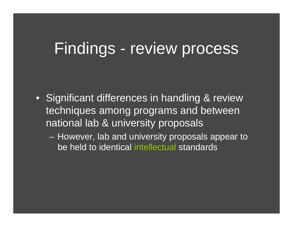#### Findings - review process

- Significant differences in handling & review techniques among programs and between national lab & university proposals
	- However, lab and university proposals appear to be held to identical intellectual standards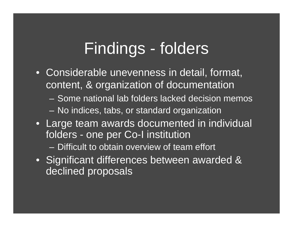## Findings - folders

- Considerable unevenness in detail, format, content, & organization of documentation
	- Some national lab folders lacked decision memos
	- No indices, tabs, or standard organization
- Large team awards documented in individual folders - one per Co-I institution
	- Difficult to obtain overview of team effort
- Significant differences between awarded & declined proposals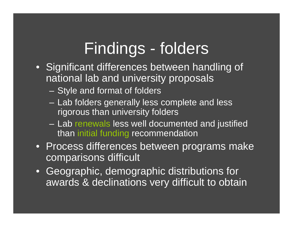### Findings - folders

- Significant differences between handling of national lab and university proposals
	- Style and format of folders
	- $\mathcal{L}_{\mathcal{A}}$  Lab folders generally less complete and less rigorous than university folders
	- Lab renewals less well documented and justified than initial funding recommendation
- Process differences between programs make comparisons difficult
- Geographic, demographic distributions for awards & declinations very difficult to obtain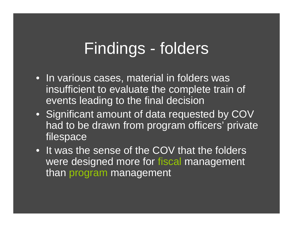## Findings - folders

- In various cases, material in folders was insufficient to evaluate the complete train of events leading to the final decision
- Significant amount of data requested by COV had to be drawn from program officers' private filespace
- It was the sense of the COV that the folders were designed more for fiscal management than program management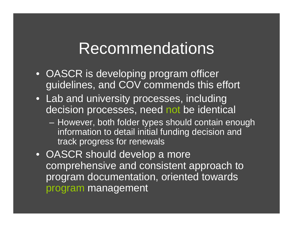#### Recommendations

- OASCR is developing program officer guidelines, and COV commends this effort
- Lab and university processes, including decision processes, need not be identical
	- However, both folder types should contain enough information to detail initial funding decision and track progress for renewals
- OASCR should develop a more comprehensive and consistent approach to program documentation, oriented towards program management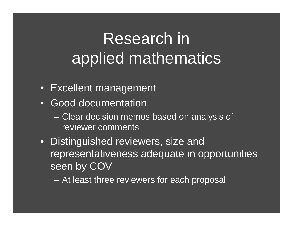# Research in applied mathematics

- Excellent management
- Good documentation
	- Clear decision memos based on analysis of reviewer comments
- Distinguished reviewers, size and representativeness adequate in opportunities seen by COV
	- At least three reviewers for each proposal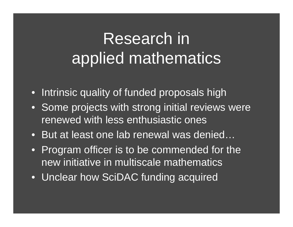# Research in applied mathematics

- $\bullet$ Intrinsic quality of funded proposals high
- Some projects with strong initial reviews were renewed with less enthusiastic ones
- But at least one lab renewal was denied…
- Program officer is to be commended for the new initiative in multiscale mathematics
- Unclear how SciDAC funding acquired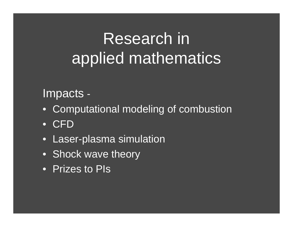# Research in applied mathematics

#### Impacts -

- Computational modeling of combustion
- CFD
- •Laser-plasma simulation
- Shock wave theory
- Prizes to PIs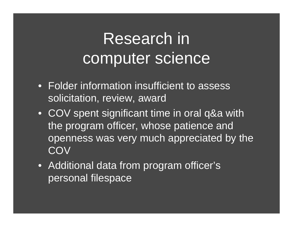- Folder information insufficient to assess solicitation, review, award
- COV spent significant time in oral q&a with the program officer, whose patience and openness was very much appreciated by the **COV**
- Additional data from program officer's personal filespace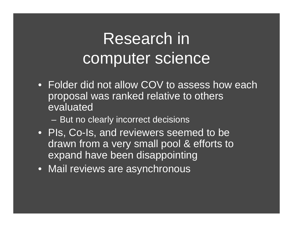- Folder did not allow COV to assess how each proposal was ranked relative to others evaluated
	- –But no clearly incorrect decisions
- PIs, Co-Is, and reviewers seemed to be drawn from a very small pool & efforts to expand have been disappointing
- Mail reviews are asynchronous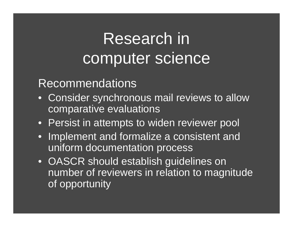#### Recommendations

- • Consider synchronous mail reviews to allow comparative evaluations
- Persist in attempts to widen reviewer pool
- • Implement and formalize a consistent and uniform documentation process
- OASCR should establish guidelines on number of reviewers in relation to magnitude of opportunity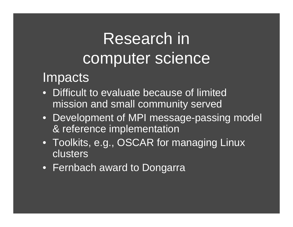#### **Impacts**

- Difficult to evaluate because of limited mission and small community served
- Development of MPI message-passing model & reference implementation
- Toolkits, e.g., OSCAR for managing Linux clusters
- Fernbach award to Dongarra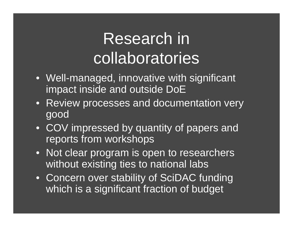# Research in collaboratories

- Well-managed, innovative with significant impact inside and outside DoE
- Review processes and documentation very good
- COV impressed by quantity of papers and reports from workshops
- Not clear program is open to researchers without existing ties to national labs
- Concern over stability of SciDAC funding which is a significant fraction of budget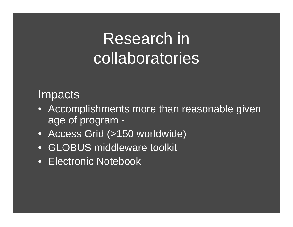# Research in collaboratories

#### Impacts

- Accomplishments more than reasonable given age of program -
- Access Grid (>150 worldwide)
- $\bullet$ **GLOBUS** middleware toolkit
- Electronic Notebook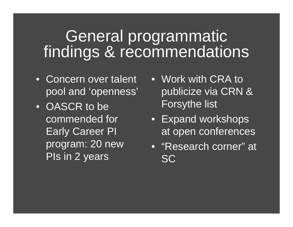#### General programmatic findings & recommendations

- Concern over talent pool and 'openness'
- OASCR to be commended for Early Career PI program: 20 new PIs in 2 years
- Work with CRA to publicize via CRN & Forsythe list
- Expand workshops at open conferences
- "Research corner" at **SC**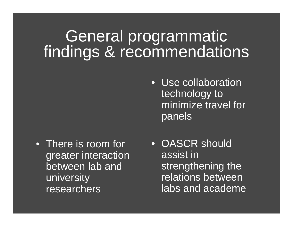#### General programmatic findings & recommendations

• There is room for greater interaction between lab and university researchers

- Use collaboration technology to minimize travel for panels
- OASCR should assist in strengthening the relations between labs and academe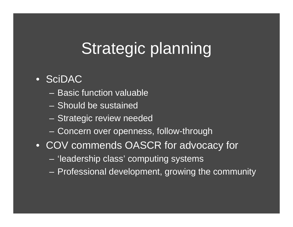# Strategic planning

#### • SciDAC

- Basic function valuable
- Should be sustained
- $\mathcal{L}_{\mathcal{A}}$ Strategic review needed
- $\mathcal{L}_{\mathcal{A}}$ Concern over openness, follow-through
- COV commends OASCR for advocacy for
	- 'leadership class' computing systems
	- Professional development, growing the community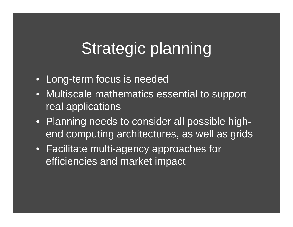# Strategic planning

- Long-term focus is needed
- Multiscale mathematics essential to support real applications
- Planning needs to consider all possible highend computing architectures, as well as grids
- Facilitate multi-agency approaches for efficiencies and market impact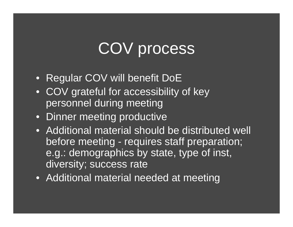## COV process

- Regular COV will benefit DoE
- COV grateful for accessibility of key personnel during meeting
- Dinner meeting productive
- Additional material should be distributed well before meeting - requires staff preparation; e.g.: demographics by state, type of inst, diversity; success rate
- Additional material needed at meeting